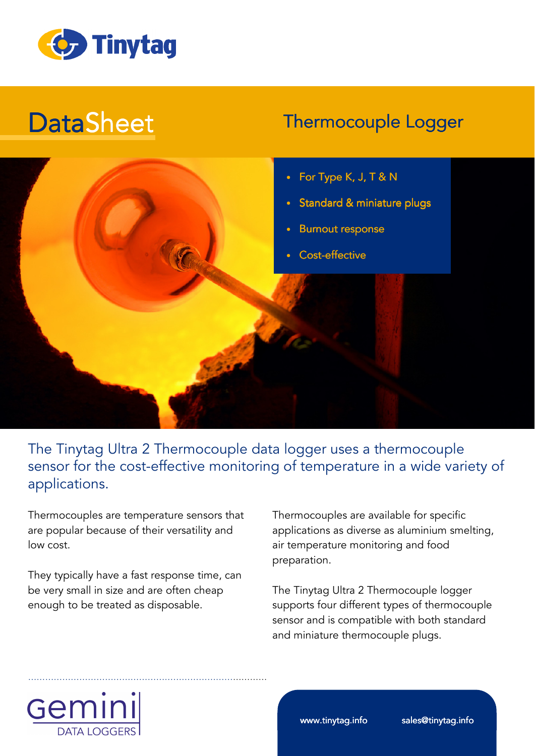

### DataSheet Thermocouple Logger

- For Type K, J, T & N
- **Standard & miniature plugs**
- **Burnout response**
- **Cost-effective**

The Tinytag Ultra 2 Thermocouple data logger uses a thermocouple sensor for the cost-effective monitoring of temperature in a wide variety of applications.

Thermocouples are temperature sensors that are popular because of their versatility and low cost.

They typically have a fast response time, can be very small in size and are often cheap enough to be treated as disposable.

…………………………………………………………………………

Thermocouples are available for specific applications as diverse as aluminium smelting, air temperature monitoring and food preparation.

The Tinytag Ultra 2 Thermocouple logger supports four different types of thermocouple sensor and is compatible with both standard and miniature thermocouple plugs.



www.tinytag.info sales@tinytag.info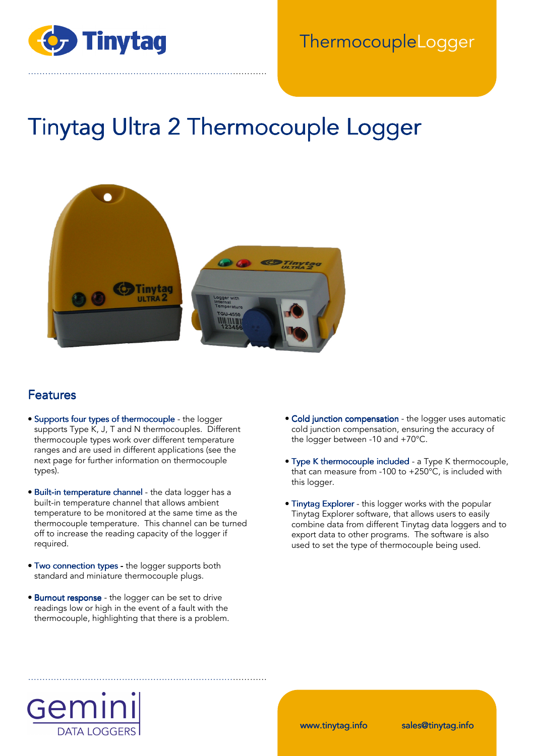

…………………………………………………………………………

## Tinytag Ultra 2 Thermocouple Logger



### Features

- Supports four types of thermocouple the logger supports Type K, J, T and N thermocouples. Different thermocouple types work over different temperature ranges and are used in different applications (see the next page for further information on thermocouple types).
- Built-in temperature channel the data logger has a built-in temperature channel that allows ambient temperature to be monitored at the same time as the thermocouple temperature. This channel can be turned off to increase the reading capacity of the logger if required.
- Two connection types the logger supports both standard and miniature thermocouple plugs.
- Burnout response the logger can be set to drive readings low or high in the event of a fault with the thermocouple, highlighting that there is a problem.

…………………………………………………………………………

- Cold junction compensation the logger uses automatic cold junction compensation, ensuring the accuracy of the logger between -10 and +70°C.
- Type K thermocouple included a Type K thermocouple, that can measure from -100 to +250°C, is included with this logger.
- Tinytag Explorer this logger works with the popular Tinytag Explorer software, that allows users to easily combine data from different Tinytag data loggers and to export data to other programs. The software is also used to set the type of thermocouple being used.



www.tinytag.info sales@tinytag.info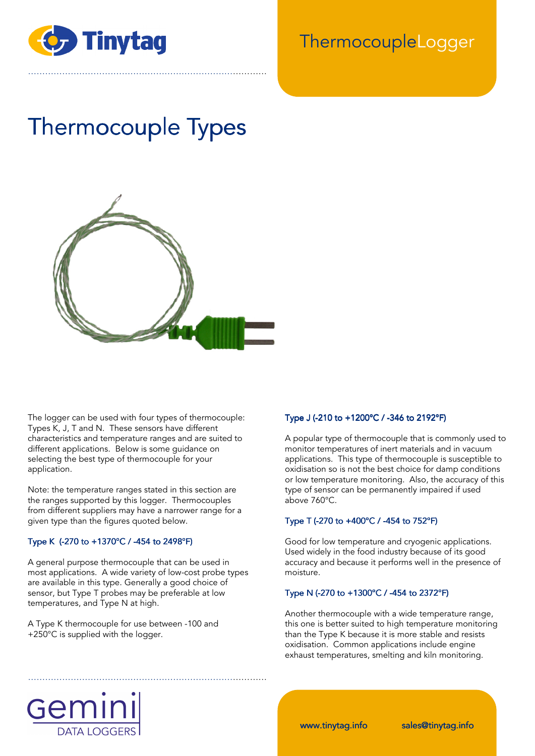

**ThermocoupleLogger** 

## Thermocouple Types

…………………………………………………………………………



The logger can be used with four types of thermocouple: Types K, J, T and N. These sensors have different characteristics and temperature ranges and are suited to different applications. Below is some guidance on selecting the best type of thermocouple for your application.

Note: the temperature ranges stated in this section are the ranges supported by this logger. Thermocouples from different suppliers may have a narrower range for a given type than the figures quoted below.

#### Type K (-270 to +1370°C / -454 to 2498°F)

A general purpose thermocouple that can be used in most applications. A wide variety of low-cost probe types are available in this type. Generally a good choice of sensor, but Type T probes may be preferable at low temperatures, and Type N at high.

…………………………………………………………………………

A Type K thermocouple for use between -100 and +250°C is supplied with the logger.

#### Type J (-210 to +1200°C / -346 to 2192°F)

A popular type of thermocouple that is commonly used to monitor temperatures of inert materials and in vacuum applications. This type of thermocouple is susceptible to oxidisation so is not the best choice for damp conditions or low temperature monitoring. Also, the accuracy of this type of sensor can be permanently impaired if used above 760°C.

#### Type T (-270 to +400°C / -454 to 752°F)

Good for low temperature and cryogenic applications. Used widely in the food industry because of its good accuracy and because it performs well in the presence of moisture.

#### Type N (-270 to +1300°C / -454 to 2372°F)

Another thermocouple with a wide temperature range, this one is better suited to high temperature monitoring than the Type K because it is more stable and resists oxidisation. Common applications include engine exhaust temperatures, smelting and kiln monitoring.



www.tinytag.info sales@tinytag.info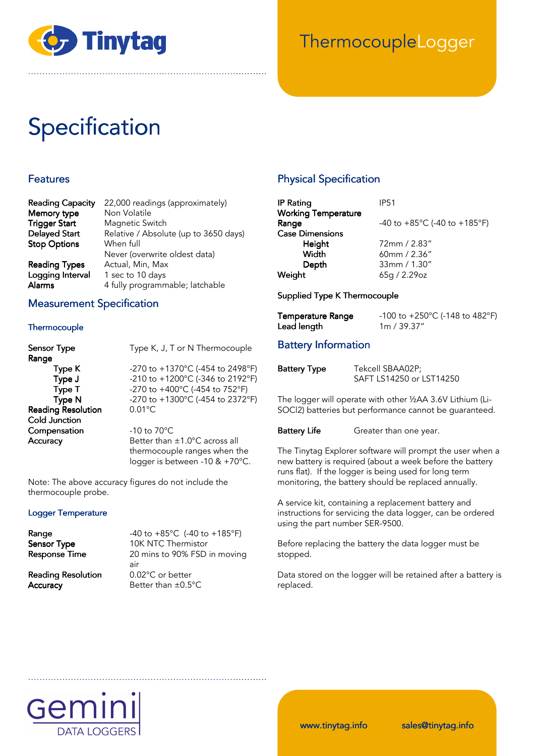

### **ThermocoupleLogger**

## Specification

#### Features

| <b>Reading Capacity</b> | 22,000 readings (approximately)       |
|-------------------------|---------------------------------------|
| Memory type             | Non Volatile                          |
| <b>Trigger Start</b>    | Magnetic Switch                       |
| <b>Delayed Start</b>    | Relative / Absolute (up to 3650 days) |
| <b>Stop Options</b>     | When full                             |
|                         | Never (overwrite oldest data)         |
| <b>Reading Types</b>    | Actual, Min, Max                      |
| Logging Interval        | 1 sec to 10 days                      |
| Alarms                  | 4 fully programmable; latchable       |
|                         |                                       |

…………………………………………………………………………

#### **Measurement Specification**

#### **Thermocouple**

| Sensor Type<br>Range      | Type K, J, T or N Thermocouple                                 |
|---------------------------|----------------------------------------------------------------|
| Type K                    | -270 to +1370°C (-454 to 2498°F)                               |
| Type J                    | -210 to +1200°C (-346 to 2192°F)                               |
| Type T                    | -270 to +400°C (-454 to 752°F)                                 |
| <b>Type N</b>             | -270 to +1300°C (-454 to 2372°F)                               |
| <b>Reading Resolution</b> | $0.01^{\circ}$ C                                               |
| <b>Cold Junction</b>      |                                                                |
| Compensation              | $-10$ to $70^{\circ}$ C                                        |
| Accuracy                  | Better than $\pm 1.0^{\circ}$ C across all                     |
|                           | thermocouple ranges when the<br>logger is between -10 & +70°C. |

Note: The above accuracy figures do not include the thermocouple probe.

…………………………………………………………………………

#### Logger Temperature

| Range                   | -40 |
|-------------------------|-----|
| Sensor Type             | 10I |
| <b>Response Time</b>    | 20  |
|                         | air |
| <b>Deading Deadings</b> | ∩∩  |

 $-40$  to  $+85^{\circ}$ C (-40 to  $+185^{\circ}$ F) 10K NTC Thermistor 20 mins to 90% FSD in moving Reading Resolution 0.02°C or better Accuracy Better than  $\pm 0.5^{\circ}$ C

#### Physical Specification

| <b>IP Rating</b>           | <b>IP51</b>                                        |
|----------------------------|----------------------------------------------------|
| <b>Working Temperature</b> |                                                    |
| Range                      | -40 to +85 $^{\circ}$ C (-40 to +185 $^{\circ}$ F) |
| <b>Case Dimensions</b>     |                                                    |
| Height                     | 72mm / 2.83"                                       |
| Width                      | $60$ mm / 2.36"                                    |
| Depth                      | 33mm / 1.30"                                       |
| Weight                     | 65g / 2.29oz                                       |

#### Supplied Type K Thermocouple

| <b>Temperature Range</b> | $-100$ to $+250^{\circ}$ C (-148 to 482 $^{\circ}$ F) |
|--------------------------|-------------------------------------------------------|
| Lead length              | 1m/39.37"                                             |

#### **Battery Information**

| <b>Battery Type</b> | Tekcell SBAA02P;         |
|---------------------|--------------------------|
|                     | SAFT LS14250 or LST14250 |

The logger will operate with other ½AA 3.6V Lithium (Li-SOCl2) batteries but performance cannot be guaranteed.

Battery Life Greater than one year.

The Tinytag Explorer software will prompt the user when a new battery is required (about a week before the battery runs flat). If the logger is being used for long term monitoring, the battery should be replaced annually.

A service kit, containing a replacement battery and instructions for servicing the data logger, can be ordered using the part number SER-9500.

Before replacing the battery the data logger must be stopped.

Data stored on the logger will be retained after a battery is replaced.